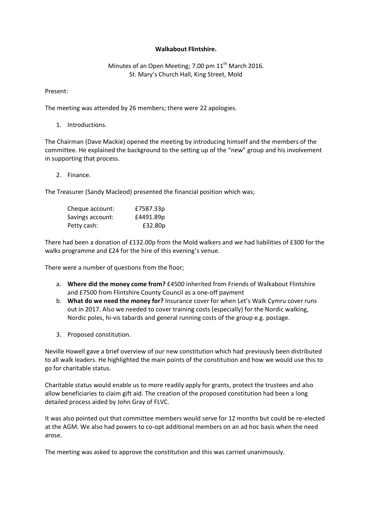## **Walkabout Flintshire.**

## Minutes of an Open Meeting; 7.00 pm  $11<sup>th</sup>$  March 2016. St. Mary's Church Hall, King Street, Mold

Present:

The meeting was attended by 26 members; there were 22 apologies.

1. Introductions.

The Chairman (Dave Mackie) opened the meeting by introducing himself and the members of the committee. He explained the background to the setting up of the "new" group and his involvement in supporting that process.

2. Finance.

The Treasurer (Sandy Macleod) presented the financial position which was;

| Cheque account:  | £7587.33p |
|------------------|-----------|
| Savings account: | £4491.89p |
| Petty cash:      | £32.80p   |

There had been a donation of £132.00p from the Mold walkers and we had liabilities of £300 for the walks programme and £24 for the hire of this evening's venue.

There were a number of questions from the floor;

- a. **Where did the money come from?** £4500 inherited from Friends of Walkabout Flintshire and £7500 from Flintshire County Council as a one-off payment
- b. **What do we need the money for?** Insurance cover for when Let's Walk Cymru cover runs out in 2017. Also we needed to cover training costs (especially) for the Nordic walking, Nordic poles, hi-vis tabards and general running costs of the group e.g. postage.
- 3. Proposed constitution.

Neville Howell gave a brief overview of our new constitution which had previously been distributed to all walk leaders. He highlighted the main points of the constitution and how we would use this to go for charitable status.

Charitable status would enable us to more readily apply for grants, protect the trustees and also allow beneficiaries to claim gift aid. The creation of the proposed constitution had been a long detailed process aided by John Gray of FLVC.

It was also pointed out that committee members would serve for 12 months but could be re-elected at the AGM. We also had powers to co-opt additional members on an ad hoc basis when the need arose.

The meeting was asked to approve the constitution and this was carried unanimously.